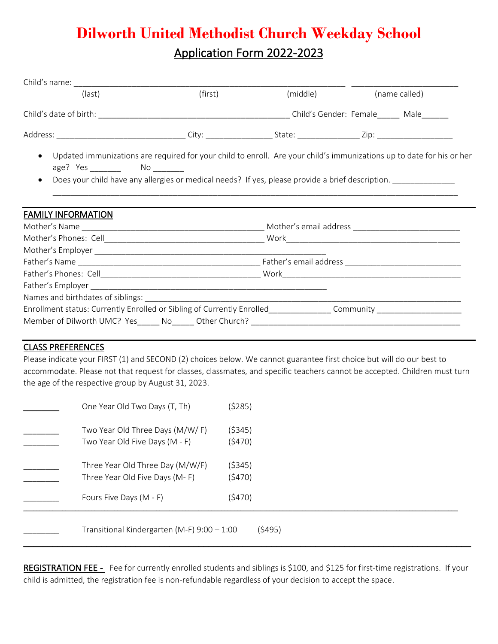# **Dilworth United Methodist Church Weekday School** Application Form 2022-2023

| (last)                                                                                                         | (first)                                                                                                                                                                                                                   | (middle) |  | (name called) |  |
|----------------------------------------------------------------------------------------------------------------|---------------------------------------------------------------------------------------------------------------------------------------------------------------------------------------------------------------------------|----------|--|---------------|--|
|                                                                                                                |                                                                                                                                                                                                                           |          |  |               |  |
|                                                                                                                |                                                                                                                                                                                                                           |          |  |               |  |
| $\bullet$<br>$\bullet$                                                                                         | Updated immunizations are required for your child to enroll. Are your child's immunizations up to date for his or her<br>Does your child have any allergies or medical needs? If yes, please provide a brief description. |          |  |               |  |
| <b>FAMILY INFORMATION</b>                                                                                      |                                                                                                                                                                                                                           |          |  |               |  |
|                                                                                                                |                                                                                                                                                                                                                           |          |  |               |  |
|                                                                                                                |                                                                                                                                                                                                                           |          |  |               |  |
|                                                                                                                |                                                                                                                                                                                                                           |          |  |               |  |
|                                                                                                                |                                                                                                                                                                                                                           |          |  |               |  |
|                                                                                                                |                                                                                                                                                                                                                           |          |  |               |  |
|                                                                                                                |                                                                                                                                                                                                                           |          |  |               |  |
| Enrollment status: Currently Enrolled or Sibling of Currently Enrolled______________Community ________________ |                                                                                                                                                                                                                           |          |  |               |  |
|                                                                                                                |                                                                                                                                                                                                                           |          |  |               |  |
|                                                                                                                |                                                                                                                                                                                                                           |          |  |               |  |

### CLASS PREFERENCES

Please indicate your FIRST (1) and SECOND (2) choices below. We cannot guarantee first choice but will do our best to accommodate. Please not that request for classes, classmates, and specific teachers cannot be accepted. Children must turn the age of the respective group by August 31, 2023.

| One Year Old Two Days (T, Th)                                      | (\$285)          |  |  |
|--------------------------------------------------------------------|------------------|--|--|
| Two Year Old Three Days (M/W/F)<br>Two Year Old Five Days (M - F)  | (5345)<br>(5470) |  |  |
| Three Year Old Three Day (M/W/F)<br>Three Year Old Five Days (M-F) | (5345)<br>(5470) |  |  |
| Fours Five Days (M - F)                                            | (5470)           |  |  |
| (5495)<br>Transitional Kindergarten (M-F) $9:00 - 1:00$            |                  |  |  |

REGISTRATION FEE - Fee for currently enrolled students and siblings is \$100, and \$125 for first-time registrations. If your child is admitted, the registration fee is non-refundable regardless of your decision to accept the space.